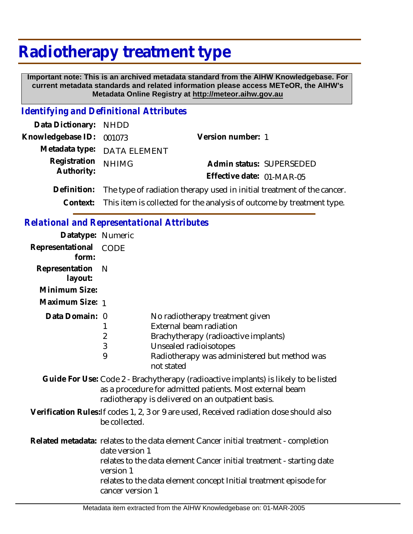## **Radiotherapy treatment type**

 **Important note: This is an archived metadata standard from the AIHW Knowledgebase. For current metadata standards and related information please access METeOR, the AIHW's Metadata Online Registry at http://meteor.aihw.gov.au**

## *Identifying and Definitional Attributes*

| Data Dictionary: NHDD      |                                                                                    |                           |                          |
|----------------------------|------------------------------------------------------------------------------------|---------------------------|--------------------------|
| Knowledgebase ID: 001073   |                                                                                    | Version number: 1         |                          |
|                            | Metadata type: DATA ELEMENT                                                        |                           |                          |
| Registration<br>Authority: | <b>NHIMG</b>                                                                       |                           | Admin status: SUPERSEDED |
|                            |                                                                                    | Effective date: 01-MAR-05 |                          |
|                            | Definition: The type of radiation therapy used in initial treatment of the cancer. |                           |                          |
|                            | Context: This item is collected for the analysis of outcome by treatment type.     |                           |                          |

## *Relational and Representational Attributes*

| Datatype: Numeric         |                                                 |                                                                                                                                                                                                                                  |
|---------------------------|-------------------------------------------------|----------------------------------------------------------------------------------------------------------------------------------------------------------------------------------------------------------------------------------|
| Representational<br>form: | <b>CODE</b>                                     |                                                                                                                                                                                                                                  |
| Representation<br>layout: | N                                               |                                                                                                                                                                                                                                  |
| Minimum Size:             |                                                 |                                                                                                                                                                                                                                  |
| Maximum Size: 1           |                                                 |                                                                                                                                                                                                                                  |
| Data Domain: 0            | 2<br>3<br>9                                     | No radiotherapy treatment given<br><b>External beam radiation</b><br>Brachytherapy (radioactive implants)<br>Unsealed radioisotopes<br>Radiotherapy was administered but method was<br>not stated                                |
|                           |                                                 | Guide For Use: Code 2 - Brachytherapy (radioactive implants) is likely to be listed<br>as a procedure for admitted patients. Most external beam<br>radiotherapy is delivered on an outpatient basis.                             |
|                           | be collected.                                   | Verification Rules: If codes 1, 2, 3 or 9 are used, Received radiation dose should also                                                                                                                                          |
|                           | date version 1<br>version 1<br>cancer version 1 | Related metadata: relates to the data element Cancer initial treatment - completion<br>relates to the data element Cancer initial treatment - starting date<br>relates to the data element concept Initial treatment episode for |